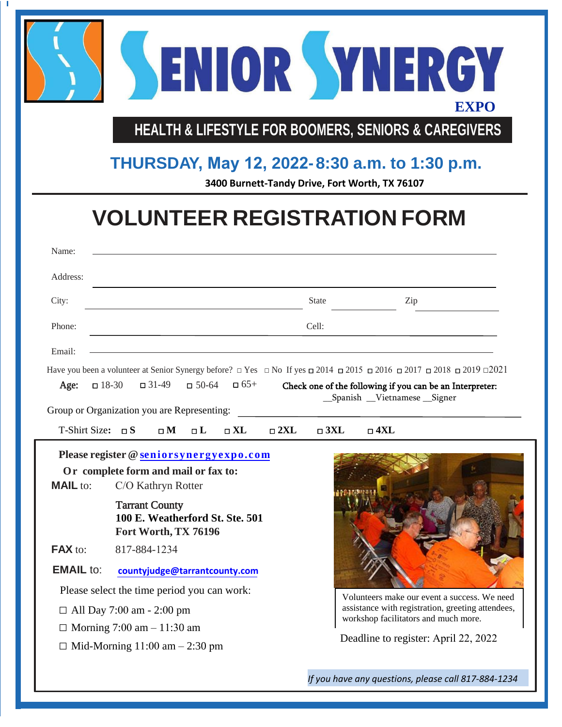

**HEALTH & LIFESTYLE FOR BOOMERS, SENIORS & CAREGIVERS**

## **THURSDAY, May 12, 2022- 8:30 a.m. to 1:30 p.m.**

**3400 Burnett-Tandy Drive, Fort Worth, TX 76107**

## **VOLUNTEER REGISTRATION FORM**

| Name:                       |                                                                                                       |                               |               |              |                                                                                                                                                                     |  |
|-----------------------------|-------------------------------------------------------------------------------------------------------|-------------------------------|---------------|--------------|---------------------------------------------------------------------------------------------------------------------------------------------------------------------|--|
| Address:                    |                                                                                                       |                               |               |              |                                                                                                                                                                     |  |
| City:                       |                                                                                                       |                               |               | <b>State</b> | Zip                                                                                                                                                                 |  |
| Phone:                      | Cell:                                                                                                 |                               |               |              |                                                                                                                                                                     |  |
| Email:                      |                                                                                                       |                               |               |              | Have you been a volunteer at Senior Synergy before? $\Box$ Yes $\Box$ No If yes $\Box$ 2014 $\Box$ 2015 $\Box$ 2016 $\Box$ 2017 $\Box$ 2018 $\Box$ 2019 $\Box$ 2021 |  |
| Age:                        | $\Box$ 31-49<br>$\Box$ 18-30                                                                          | $\Box$ 65+<br>$-50-64$        |               |              | Check one of the following if you can be an Interpreter:<br>_Spanish _Vietnamese _Signer                                                                            |  |
| T-Shirt Size: $\square$ S   | Group or Organization you are Representing:<br>$\square$ M                                            | $\square$ XL<br>$\Box$ L      | $\square$ 2XL | $\Box$ 3XL   | $\square$ 4XL                                                                                                                                                       |  |
| <b>MAIL</b> to:             | Please register @ seniorsynergyexpo.com<br>Or complete form and mail or fax to:<br>C/O Kathryn Rotter |                               |               |              |                                                                                                                                                                     |  |
|                             | <b>Tarrant County</b><br>100 E. Weatherford St. Ste. 501<br>Fort Worth, TX 76196                      |                               |               |              |                                                                                                                                                                     |  |
| FAX to:<br><b>EMAIL</b> to: | 817-884-1234                                                                                          | countyjudge@tarrantcounty.com |               |              |                                                                                                                                                                     |  |

*If you have any questions, please call 817-884-1234*